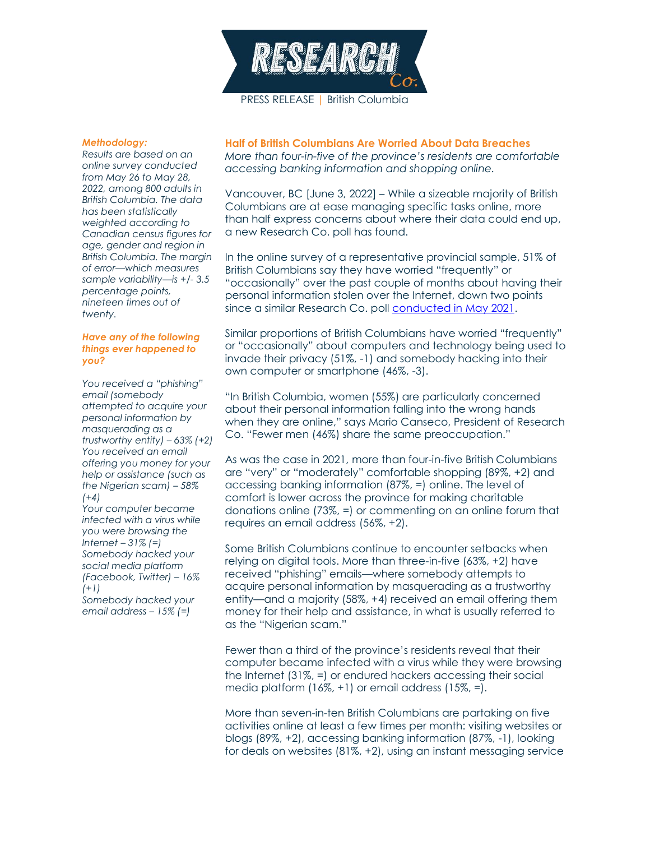

#### *Methodology:*

*Results are based on an online survey conducted from May 26 to May 28, 2022, among 800 adults in British Columbia. The data has been statistically weighted according to Canadian census figures for age, gender and region in British Columbia. The margin of error—which measures sample variability—is +/- 3.5 percentage points, nineteen times out of twenty.*

### *Have any of the following things ever happened to you?*

*You received a "phishing" email (somebody attempted to acquire your personal information by masquerading as a trustworthy entity) – 63% (+2) You received an email offering you money for your help or assistance (such as the Nigerian scam) – 58% (+4)*

*Your computer became infected with a virus while you were browsing the Internet – 31% (=) Somebody hacked your social media platform (Facebook, Twitter) – 16% (+1) Somebody hacked your* 

*email address – 15% (=)*

## **Half of British Columbians Are Worried About Data Breaches**

*More than four-in-five of the province's residents are comfortable accessing banking information and shopping online.*

Vancouver, BC [June 3, 2022] – While a sizeable majority of British Columbians are at ease managing specific tasks online, more than half express concerns about where their data could end up, a new Research Co. poll has found.

In the online survey of a representative provincial sample, 51% of British Columbians say they have worried "frequently" or "occasionally" over the past couple of months about having their personal information stolen over the Internet, down two points since a similar Research Co. poll [conducted in May 2021.](https://researchco.ca/2021/05/04/british-columbia-technology/)

Similar proportions of British Columbians have worried "frequently" or "occasionally" about computers and technology being used to invade their privacy (51%, -1) and somebody hacking into their own computer or smartphone (46%, -3).

"In British Columbia, women (55%) are particularly concerned about their personal information falling into the wrong hands when they are online," says Mario Canseco, President of Research Co. "Fewer men (46%) share the same preoccupation."

As was the case in 2021, more than four-in-five British Columbians are "very" or "moderately" comfortable shopping (89%, +2) and accessing banking information (87%, =) online. The level of comfort is lower across the province for making charitable donations online (73%, =) or commenting on an online forum that requires an email address (56%, +2).

Some British Columbians continue to encounter setbacks when relying on digital tools. More than three-in-five (63%, +2) have received "phishing" emails—where somebody attempts to acquire personal information by masquerading as a trustworthy entity—and a majority (58%, +4) received an email offering them money for their help and assistance, in what is usually referred to as the "Nigerian scam."

Fewer than a third of the province's residents reveal that their computer became infected with a virus while they were browsing the Internet (31%, =) or endured hackers accessing their social media platform  $(16\%, +1)$  or email address  $(15\%, =)$ .

More than seven-in-ten British Columbians are partaking on five activities online at least a few times per month: visiting websites or blogs (89%, +2), accessing banking information (87%, -1), looking for deals on websites (81%, +2), using an instant messaging service